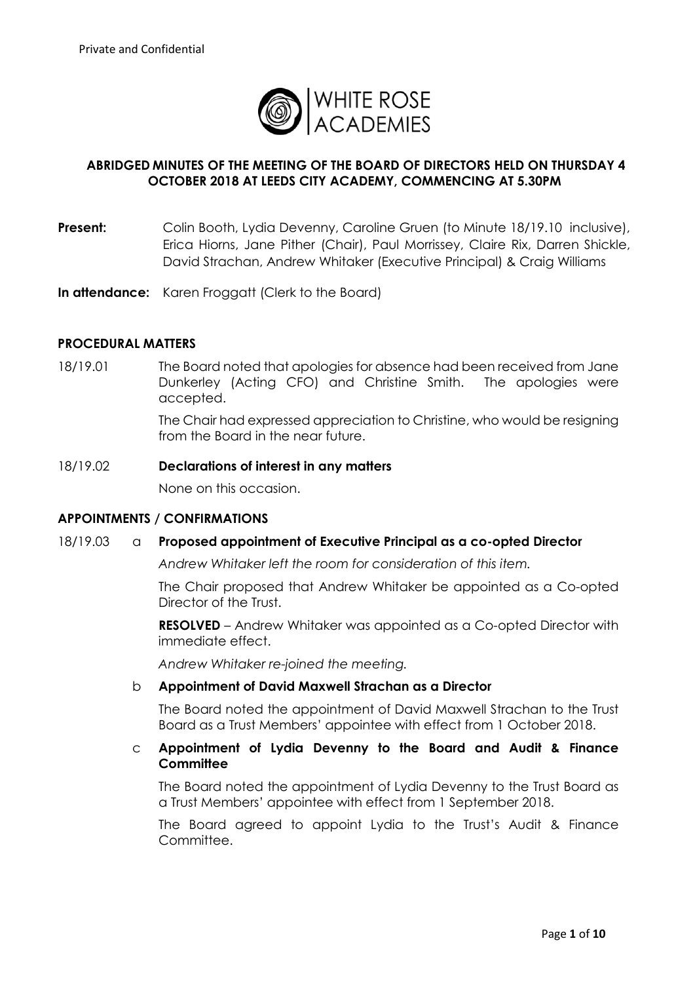

# **ABRIDGED MINUTES OF THE MEETING OF THE BOARD OF DIRECTORS HELD ON THURSDAY 4 OCTOBER 2018 AT LEEDS CITY ACADEMY, COMMENCING AT 5.30PM**

- **Present:** Colin Booth, Lydia Devenny, Caroline Gruen (to Minute 18/19.10 inclusive), Erica Hiorns, Jane Pither (Chair), Paul Morrissey, Claire Rix, Darren Shickle, David Strachan, Andrew Whitaker (Executive Principal) & Craig Williams
- **In attendance:** Karen Froggatt (Clerk to the Board)

#### **PROCEDURAL MATTERS**

18/19.01 The Board noted that apologies for absence had been received from Jane Dunkerley (Acting CFO) and Christine Smith. The apologies were accepted.

> The Chair had expressed appreciation to Christine, who would be resigning from the Board in the near future.

#### 18/19.02 **Declarations of interest in any matters**

None on this occasion.

#### **APPOINTMENTS / CONFIRMATIONS**

#### 18/19.03 a **Proposed appointment of Executive Principal as a co-opted Director**

*Andrew Whitaker left the room for consideration of this item.*

The Chair proposed that Andrew Whitaker be appointed as a Co-opted Director of the Trust.

**RESOLVED** – Andrew Whitaker was appointed as a Co-opted Director with immediate effect.

*Andrew Whitaker re-joined the meeting.*

#### b **Appointment of David Maxwell Strachan as a Director**

The Board noted the appointment of David Maxwell Strachan to the Trust Board as a Trust Members' appointee with effect from 1 October 2018.

### c **Appointment of Lydia Devenny to the Board and Audit & Finance Committee**

The Board noted the appointment of Lydia Devenny to the Trust Board as a Trust Members' appointee with effect from 1 September 2018.

The Board agreed to appoint Lydia to the Trust's Audit & Finance Committee.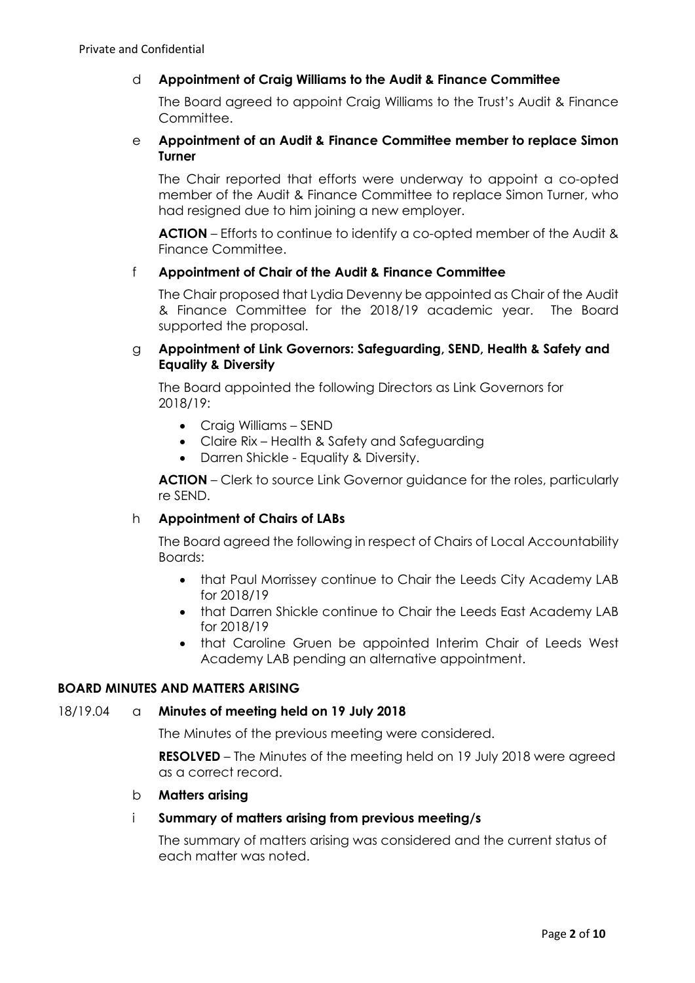# d **Appointment of Craig Williams to the Audit & Finance Committee**

The Board agreed to appoint Craig Williams to the Trust's Audit & Finance Committee.

## e **Appointment of an Audit & Finance Committee member to replace Simon Turner**

The Chair reported that efforts were underway to appoint a co-opted member of the Audit & Finance Committee to replace Simon Turner, who had resigned due to him joining a new employer.

**ACTION** – Efforts to continue to identify a co-opted member of the Audit & Finance Committee.

### f **Appointment of Chair of the Audit & Finance Committee**

The Chair proposed that Lydia Devenny be appointed as Chair of the Audit & Finance Committee for the 2018/19 academic year. The Board supported the proposal.

## g **Appointment of Link Governors: Safeguarding, SEND, Health & Safety and Equality & Diversity**

The Board appointed the following Directors as Link Governors for 2018/19:

- Craig Williams SEND
- Claire Rix Health & Safety and Safeguarding
- Darren Shickle Equality & Diversity.

**ACTION** – Clerk to source Link Governor guidance for the roles, particularly re SEND.

### h **Appointment of Chairs of LABs**

The Board agreed the following in respect of Chairs of Local Accountability Boards:

- that Paul Morrissey continue to Chair the Leeds City Academy LAB for 2018/19
- that Darren Shickle continue to Chair the Leeds East Academy LAB for 2018/19
- that Caroline Gruen be appointed Interim Chair of Leeds West Academy LAB pending an alternative appointment.

### **BOARD MINUTES AND MATTERS ARISING**

### 18/19.04 a **Minutes of meeting held on 19 July 2018**

The Minutes of the previous meeting were considered.

**RESOLVED** – The Minutes of the meeting held on 19 July 2018 were agreed as a correct record.

### b **Matters arising**

### i **Summary of matters arising from previous meeting/s**

The summary of matters arising was considered and the current status of each matter was noted.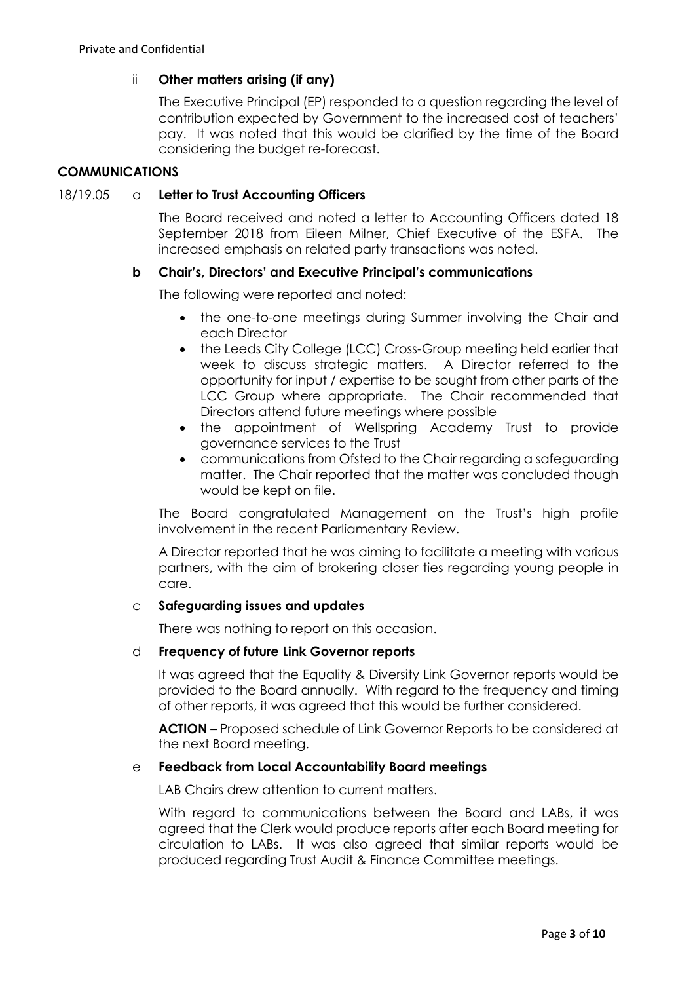# ii **Other matters arising (if any)**

The Executive Principal (EP) responded to a question regarding the level of contribution expected by Government to the increased cost of teachers' pay. It was noted that this would be clarified by the time of the Board considering the budget re-forecast.

## **COMMUNICATIONS**

## 18/19.05 a **Letter to Trust Accounting Officers**

The Board received and noted a letter to Accounting Officers dated 18 September 2018 from Eileen Milner, Chief Executive of the ESFA. The increased emphasis on related party transactions was noted.

# **b Chair's, Directors' and Executive Principal's communications**

The following were reported and noted:

- the one-to-one meetings during Summer involving the Chair and each Director
- the Leeds City College (LCC) Cross-Group meeting held earlier that week to discuss strategic matters. A Director referred to the opportunity for input / expertise to be sought from other parts of the LCC Group where appropriate. The Chair recommended that Directors attend future meetings where possible
- the appointment of Wellspring Academy Trust to provide governance services to the Trust
- communications from Ofsted to the Chair regarding a safeguarding matter. The Chair reported that the matter was concluded though would be kept on file.

The Board congratulated Management on the Trust's high profile involvement in the recent Parliamentary Review.

A Director reported that he was aiming to facilitate a meeting with various partners, with the aim of brokering closer ties regarding young people in care.

### c **Safeguarding issues and updates**

There was nothing to report on this occasion.

### d **Frequency of future Link Governor reports**

It was agreed that the Equality & Diversity Link Governor reports would be provided to the Board annually. With regard to the frequency and timing of other reports, it was agreed that this would be further considered.

**ACTION** – Proposed schedule of Link Governor Reports to be considered at the next Board meeting.

### e **Feedback from Local Accountability Board meetings**

LAB Chairs drew attention to current matters.

With regard to communications between the Board and LABs, it was agreed that the Clerk would produce reports after each Board meeting for circulation to LABs. It was also agreed that similar reports would be produced regarding Trust Audit & Finance Committee meetings.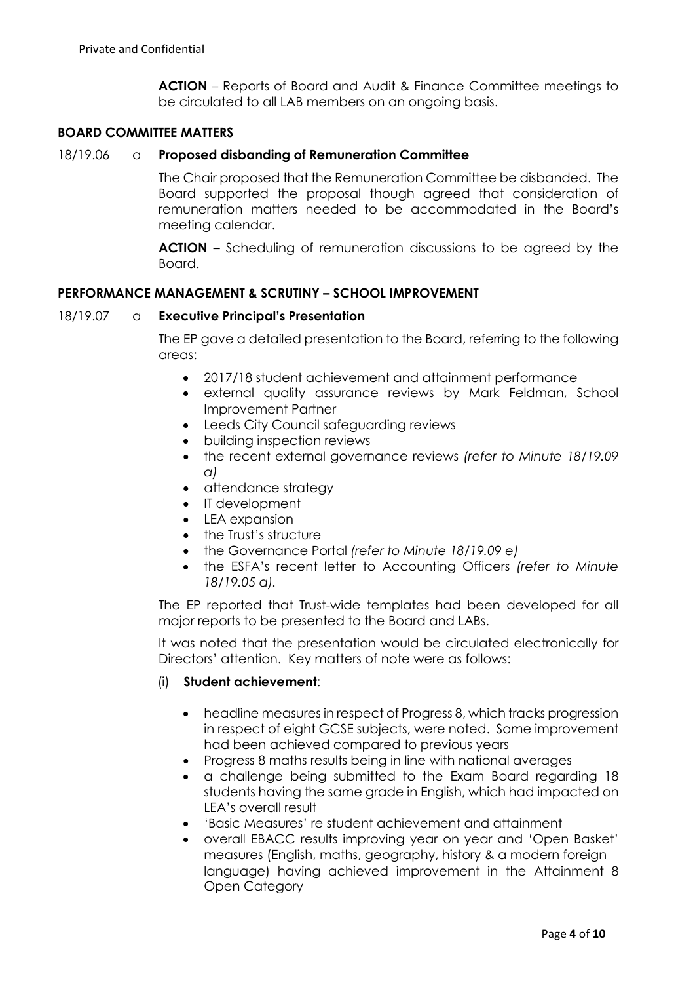**ACTION** – Reports of Board and Audit & Finance Committee meetings to be circulated to all LAB members on an ongoing basis.

# **BOARD COMMITTEE MATTERS**

## 18/19.06 a **Proposed disbanding of Remuneration Committee**

The Chair proposed that the Remuneration Committee be disbanded. The Board supported the proposal though agreed that consideration of remuneration matters needed to be accommodated in the Board's meeting calendar.

**ACTION** – Scheduling of remuneration discussions to be agreed by the Board.

### **PERFORMANCE MANAGEMENT & SCRUTINY – SCHOOL IMPROVEMENT**

#### 18/19.07 a **Executive Principal's Presentation**

The EP gave a detailed presentation to the Board, referring to the following areas:

- 2017/18 student achievement and attainment performance
- external quality assurance reviews by Mark Feldman, School Improvement Partner
- Leeds City Council safeguarding reviews
- building inspection reviews
- the recent external governance reviews *(refer to Minute 18/19.09 a)*
- attendance strategy
- IT development
- **IFA** expansion
- the Trust's structure
- the Governance Portal *(refer to Minute 18/19.09 e)*
- the ESFA's recent letter to Accounting Officers *(refer to Minute 18/19.05 a).*

The EP reported that Trust-wide templates had been developed for all major reports to be presented to the Board and LABs.

It was noted that the presentation would be circulated electronically for Directors' attention. Key matters of note were as follows:

### (i) **Student achievement**:

- headline measures in respect of Progress 8, which tracks progression in respect of eight GCSE subjects, were noted. Some improvement had been achieved compared to previous years
- Progress 8 maths results being in line with national averages
- a challenge being submitted to the Exam Board regarding 18 students having the same grade in English, which had impacted on LEA's overall result
- 'Basic Measures' re student achievement and attainment
- overall EBACC results improving year on year and 'Open Basket' measures (English, maths, geography, history & a modern foreign language) having achieved improvement in the Attainment 8 Open Category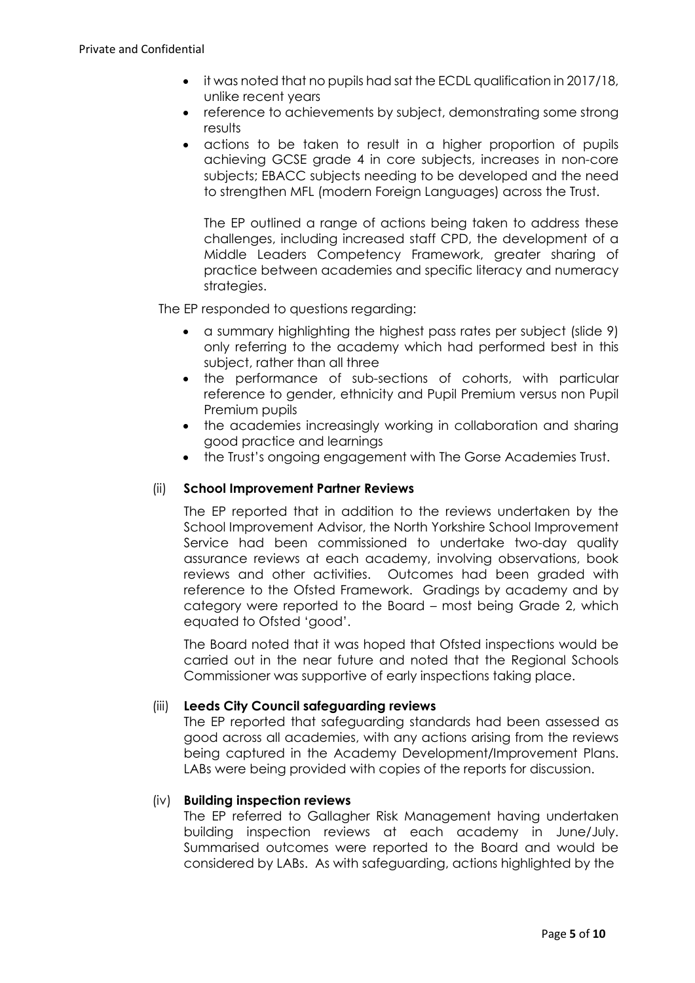- it was noted that no pupils had sat the ECDL qualification in 2017/18, unlike recent years
- reference to achievements by subject, demonstrating some strong results
- actions to be taken to result in a higher proportion of pupils achieving GCSE grade 4 in core subjects, increases in non-core subjects; EBACC subjects needing to be developed and the need to strengthen MFL (modern Foreign Languages) across the Trust.

The EP outlined a range of actions being taken to address these challenges, including increased staff CPD, the development of a Middle Leaders Competency Framework, greater sharing of practice between academies and specific literacy and numeracy strategies.

The EP responded to questions regarding:

- a summary highlighting the highest pass rates per subject (slide 9) only referring to the academy which had performed best in this subject, rather than all three
- the performance of sub-sections of cohorts, with particular reference to gender, ethnicity and Pupil Premium versus non Pupil Premium pupils
- the academies increasingly working in collaboration and sharing good practice and learnings
- the Trust's ongoing engagement with The Gorse Academies Trust.

# (ii) **School Improvement Partner Reviews**

The EP reported that in addition to the reviews undertaken by the School Improvement Advisor, the North Yorkshire School Improvement Service had been commissioned to undertake two-day quality assurance reviews at each academy, involving observations, book reviews and other activities. Outcomes had been graded with reference to the Ofsted Framework. Gradings by academy and by category were reported to the Board – most being Grade 2, which equated to Ofsted 'good'.

The Board noted that it was hoped that Ofsted inspections would be carried out in the near future and noted that the Regional Schools Commissioner was supportive of early inspections taking place.

### (iii) **Leeds City Council safeguarding reviews**

The EP reported that safeguarding standards had been assessed as good across all academies, with any actions arising from the reviews being captured in the Academy Development/Improvement Plans. LABs were being provided with copies of the reports for discussion.

### (iv) **Building inspection reviews**

The EP referred to Gallagher Risk Management having undertaken building inspection reviews at each academy in June/July. Summarised outcomes were reported to the Board and would be considered by LABs. As with safeguarding, actions highlighted by the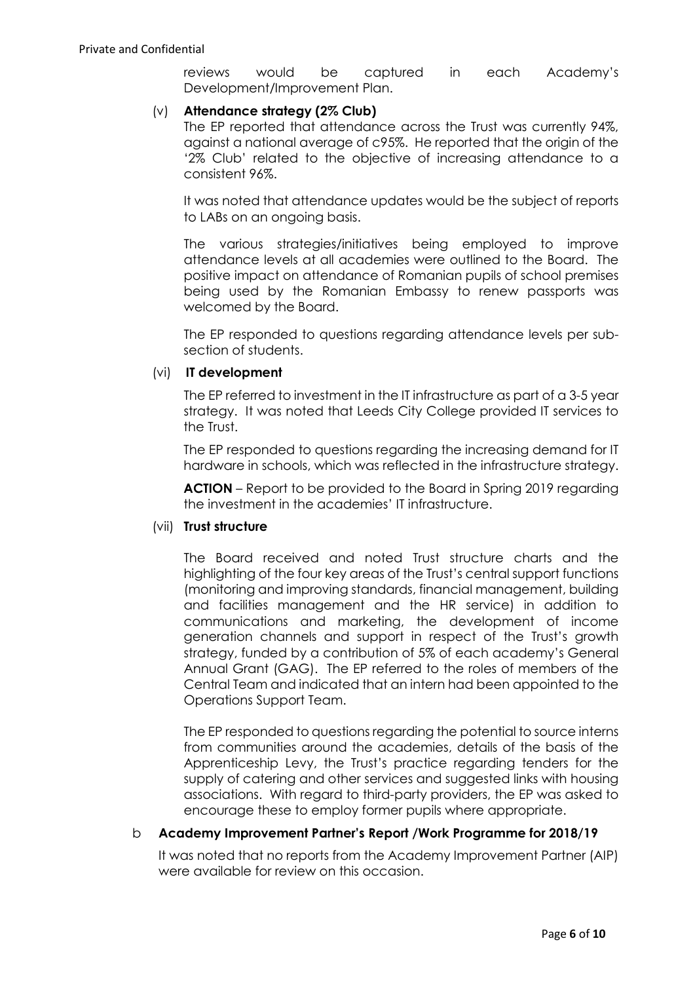reviews would be captured in each Academy's Development/Improvement Plan.

## (v) **Attendance strategy (2% Club)**

The EP reported that attendance across the Trust was currently 94%, against a national average of c95%. He reported that the origin of the '2% Club' related to the objective of increasing attendance to a consistent 96%.

It was noted that attendance updates would be the subject of reports to LABs on an ongoing basis.

The various strategies/initiatives being employed to improve attendance levels at all academies were outlined to the Board. The positive impact on attendance of Romanian pupils of school premises being used by the Romanian Embassy to renew passports was welcomed by the Board.

The EP responded to questions regarding attendance levels per subsection of students.

# (vi) **IT development**

The EP referred to investment in the IT infrastructure as part of a 3-5 year strategy. It was noted that Leeds City College provided IT services to the Trust.

The EP responded to questions regarding the increasing demand for IT hardware in schools, which was reflected in the infrastructure strategy.

**ACTION** – Report to be provided to the Board in Spring 2019 regarding the investment in the academies' IT infrastructure.

### (vii) **Trust structure**

The Board received and noted Trust structure charts and the highlighting of the four key areas of the Trust's central support functions (monitoring and improving standards, financial management, building and facilities management and the HR service) in addition to communications and marketing, the development of income generation channels and support in respect of the Trust's growth strategy, funded by a contribution of 5% of each academy's General Annual Grant (GAG). The EP referred to the roles of members of the Central Team and indicated that an intern had been appointed to the Operations Support Team.

The EP responded to questions regarding the potential to source interns from communities around the academies, details of the basis of the Apprenticeship Levy, the Trust's practice regarding tenders for the supply of catering and other services and suggested links with housing associations. With regard to third-party providers, the EP was asked to encourage these to employ former pupils where appropriate.

### b **Academy Improvement Partner's Report /Work Programme for 2018/19**

It was noted that no reports from the Academy Improvement Partner (AIP) were available for review on this occasion.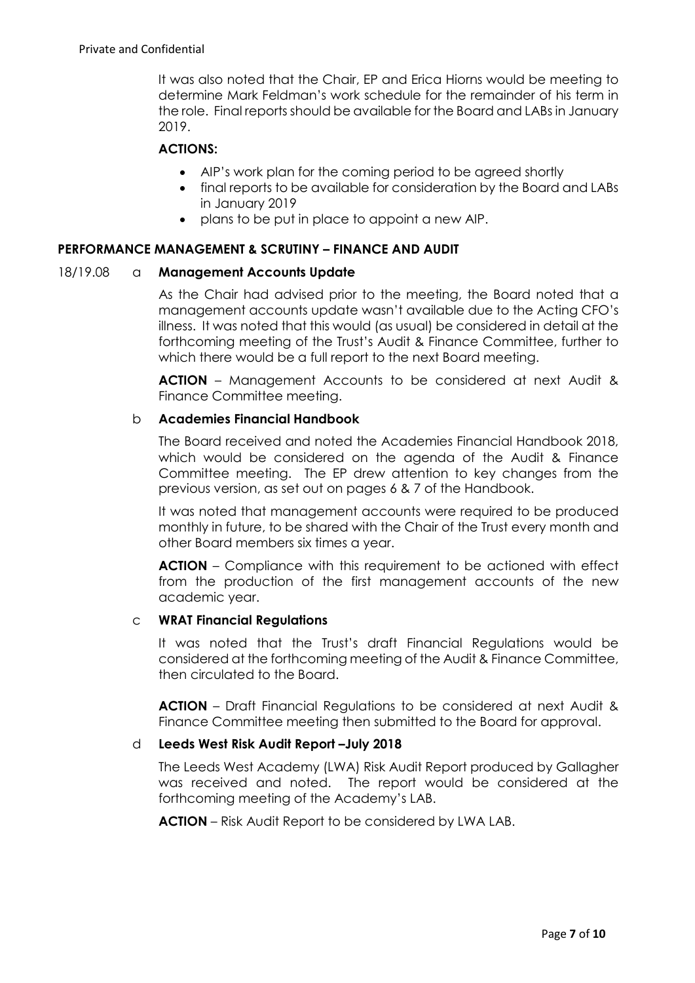It was also noted that the Chair, EP and Erica Hiorns would be meeting to determine Mark Feldman's work schedule for the remainder of his term in the role. Final reports should be available for the Board and LABs in January 2019.

## **ACTIONS:**

- AIP's work plan for the coming period to be agreed shortly
- final reports to be available for consideration by the Board and LABs in January 2019
- plans to be put in place to appoint a new AIP.

### **PERFORMANCE MANAGEMENT & SCRUTINY – FINANCE AND AUDIT**

### 18/19.08 a **Management Accounts Update**

As the Chair had advised prior to the meeting, the Board noted that a management accounts update wasn't available due to the Acting CFO's illness. It was noted that this would (as usual) be considered in detail at the forthcoming meeting of the Trust's Audit & Finance Committee, further to which there would be a full report to the next Board meeting.

**ACTION** – Management Accounts to be considered at next Audit & Finance Committee meeting.

### b **Academies Financial Handbook**

The Board received and noted the Academies Financial Handbook 2018, which would be considered on the agenda of the Audit & Finance Committee meeting. The EP drew attention to key changes from the previous version, as set out on pages 6 & 7 of the Handbook.

It was noted that management accounts were required to be produced monthly in future, to be shared with the Chair of the Trust every month and other Board members six times a year.

**ACTION** – Compliance with this requirement to be actioned with effect from the production of the first management accounts of the new academic year.

### c **WRAT Financial Regulations**

It was noted that the Trust's draft Financial Regulations would be considered at the forthcoming meeting of the Audit & Finance Committee, then circulated to the Board.

**ACTION** – Draft Financial Regulations to be considered at next Audit & Finance Committee meeting then submitted to the Board for approval.

### d **Leeds West Risk Audit Report –July 2018**

The Leeds West Academy (LWA) Risk Audit Report produced by Gallagher was received and noted. The report would be considered at the forthcoming meeting of the Academy's LAB.

**ACTION** – Risk Audit Report to be considered by LWA LAB.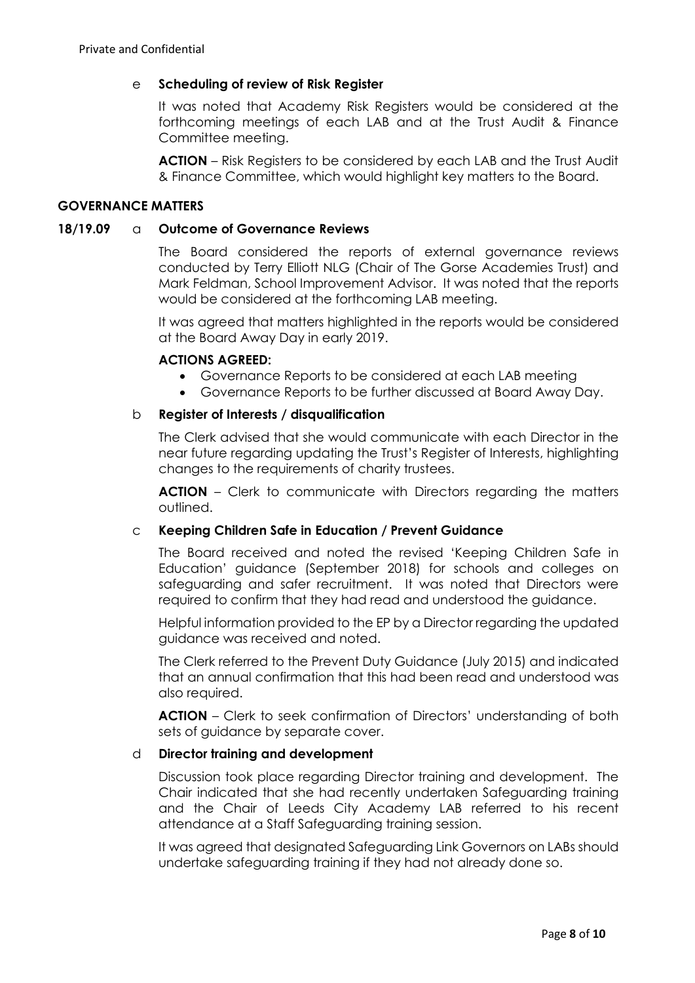## e **Scheduling of review of Risk Register**

It was noted that Academy Risk Registers would be considered at the forthcoming meetings of each LAB and at the Trust Audit & Finance Committee meeting.

**ACTION** – Risk Registers to be considered by each LAB and the Trust Audit & Finance Committee, which would highlight key matters to the Board.

### **GOVERNANCE MATTERS**

#### **18/19.09** a **Outcome of Governance Reviews**

The Board considered the reports of external governance reviews conducted by Terry Elliott NLG (Chair of The Gorse Academies Trust) and Mark Feldman, School Improvement Advisor. It was noted that the reports would be considered at the forthcoming LAB meeting.

It was agreed that matters highlighted in the reports would be considered at the Board Away Day in early 2019.

#### **ACTIONS AGREED:**

- Governance Reports to be considered at each LAB meeting
- Governance Reports to be further discussed at Board Away Day.

#### b **Register of Interests / disqualification**

The Clerk advised that she would communicate with each Director in the near future regarding updating the Trust's Register of Interests, highlighting changes to the requirements of charity trustees.

**ACTION** – Clerk to communicate with Directors regarding the matters outlined.

### c **Keeping Children Safe in Education / Prevent Guidance**

The Board received and noted the revised 'Keeping Children Safe in Education' guidance (September 2018) for schools and colleges on safeguarding and safer recruitment. It was noted that Directors were required to confirm that they had read and understood the guidance.

Helpful information provided to the EP by a Director regarding the updated guidance was received and noted.

The Clerk referred to the Prevent Duty Guidance (July 2015) and indicated that an annual confirmation that this had been read and understood was also required.

**ACTION** – Clerk to seek confirmation of Directors' understanding of both sets of guidance by separate cover.

#### d **Director training and development**

Discussion took place regarding Director training and development. The Chair indicated that she had recently undertaken Safeguarding training and the Chair of Leeds City Academy LAB referred to his recent attendance at a Staff Safeguarding training session.

It was agreed that designated Safeguarding Link Governors on LABs should undertake safeguarding training if they had not already done so.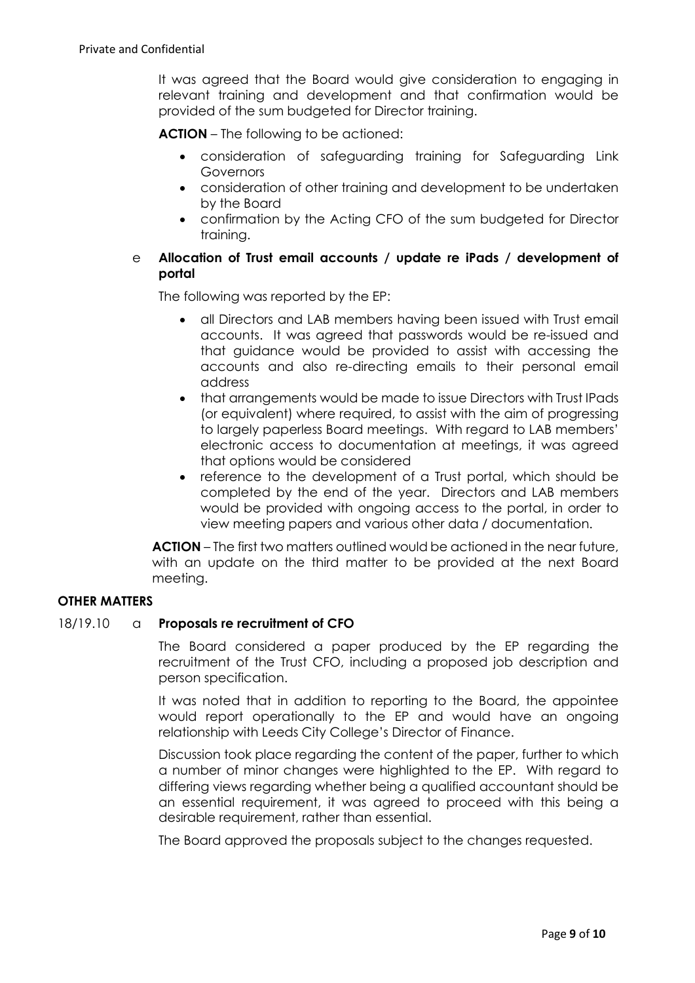It was agreed that the Board would give consideration to engaging in relevant training and development and that confirmation would be provided of the sum budgeted for Director training.

**ACTION** – The following to be actioned:

- consideration of safeguarding training for Safeguarding Link **Governors**
- consideration of other training and development to be undertaken by the Board
- confirmation by the Acting CFO of the sum budgeted for Director training.

# e **Allocation of Trust email accounts / update re iPads / development of portal**

The following was reported by the EP:

- all Directors and LAB members having been issued with Trust email accounts. It was agreed that passwords would be re-issued and that guidance would be provided to assist with accessing the accounts and also re-directing emails to their personal email address
- that arrangements would be made to issue Directors with Trust IPads (or equivalent) where required, to assist with the aim of progressing to largely paperless Board meetings. With regard to LAB members' electronic access to documentation at meetings, it was agreed that options would be considered
- reference to the development of a Trust portal, which should be completed by the end of the year. Directors and LAB members would be provided with ongoing access to the portal, in order to view meeting papers and various other data / documentation.

**ACTION** – The first two matters outlined would be actioned in the near future, with an update on the third matter to be provided at the next Board meeting.

### **OTHER MATTERS**

### 18/19.10 a **Proposals re recruitment of CFO**

The Board considered a paper produced by the EP regarding the recruitment of the Trust CFO, including a proposed job description and person specification.

It was noted that in addition to reporting to the Board, the appointee would report operationally to the EP and would have an ongoing relationship with Leeds City College's Director of Finance.

Discussion took place regarding the content of the paper, further to which a number of minor changes were highlighted to the EP. With regard to differing views regarding whether being a qualified accountant should be an essential requirement, it was agreed to proceed with this being a desirable requirement, rather than essential.

The Board approved the proposals subject to the changes requested.